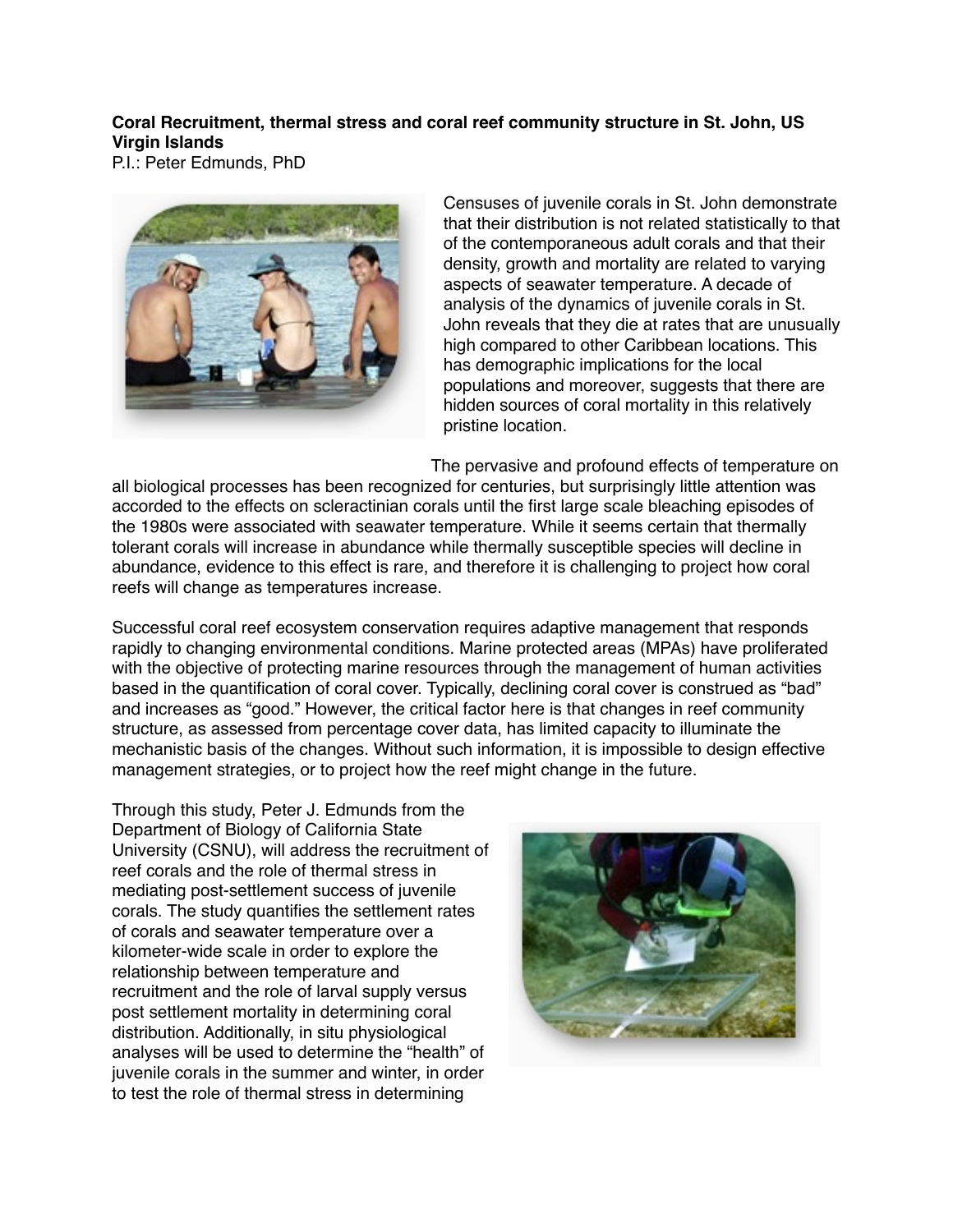## **Coral Recruitment, thermal stress and coral reef community structure in St. John, US Virgin Islands**

P.I.: Peter Edmunds, PhD



Censuses of juvenile corals in St. John demonstrate that their distribution is not related statistically to that of the contemporaneous adult corals and that their density, growth and mortality are related to varying aspects of seawater temperature. A decade of analysis of the dynamics of juvenile corals in St. John reveals that they die at rates that are unusually high compared to other Caribbean locations. This has demographic implications for the local populations and moreover, suggests that there are hidden sources of coral mortality in this relatively pristine location.

The pervasive and profound effects of temperature on

all biological processes has been recognized for centuries, but surprisingly little attention was accorded to the effects on scleractinian corals until the first large scale bleaching episodes of the 1980s were associated with seawater temperature. While it seems certain that thermally tolerant corals will increase in abundance while thermally susceptible species will decline in abundance, evidence to this effect is rare, and therefore it is challenging to project how coral reefs will change as temperatures increase.

Successful coral reef ecosystem conservation requires adaptive management that responds rapidly to changing environmental conditions. Marine protected areas (MPAs) have proliferated with the objective of protecting marine resources through the management of human activities based in the quantification of coral cover. Typically, declining coral cover is construed as "bad" and increases as "good." However, the critical factor here is that changes in reef community structure, as assessed from percentage cover data, has limited capacity to illuminate the mechanistic basis of the changes. Without such information, it is impossible to design effective management strategies, or to project how the reef might change in the future.

Through this study, Peter J. Edmunds from the Department of Biology of California State University (CSNU), will address the recruitment of reef corals and the role of thermal stress in mediating post-settlement success of juvenile corals. The study quantifies the settlement rates of corals and seawater temperature over a kilometer-wide scale in order to explore the relationship between temperature and recruitment and the role of larval supply versus post settlement mortality in determining coral distribution. Additionally, in situ physiological analyses will be used to determine the "health" of juvenile corals in the summer and winter, in order to test the role of thermal stress in determining